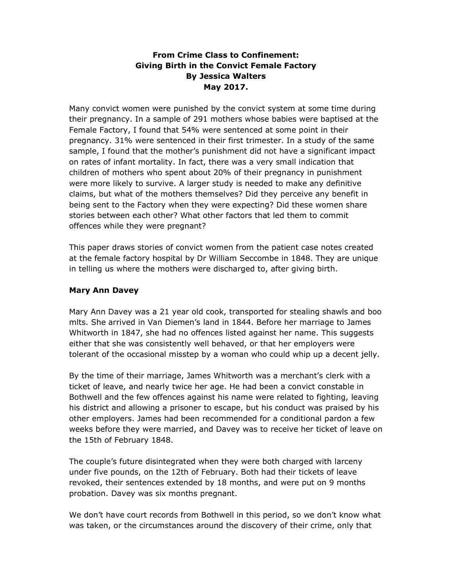# From Crime Class to Confinement: Giving Birth in the Convict Female Factory By Jessica Walters May 2017.

Many convict women were punished by the convict system at some time during their pregnancy. In a sample of 291 mothers whose babies were baptised at the Female Factory, I found that 54% were sentenced at some point in their pregnancy. 31% were sentenced in their first trimester. In a study of the same sample, I found that the mother's punishment did not have a significant impact on rates of infant mortality. In fact, there was a very small indication that children of mothers who spent about 20% of their pregnancy in punishment were more likely to survive. A larger study is needed to make any definitive claims, but what of the mothers themselves? Did they perceive any benefit in being sent to the Factory when they were expecting? Did these women share stories between each other? What other factors that led them to commit offences while they were pregnant?

This paper draws stories of convict women from the patient case notes created at the female factory hospital by Dr William Seccombe in 1848. They are unique in telling us where the mothers were discharged to, after giving birth.

## Mary Ann Davey

Mary Ann Davey was a 21 year old cook, transported for stealing shawls and boo mlts. She arrived in Van Diemen's land in 1844. Before her marriage to James Whitworth in 1847, she had no offences listed against her name. This suggests either that she was consistently well behaved, or that her employers were tolerant of the occasional misstep by a woman who could whip up a decent jelly.

By the time of their marriage, James Whitworth was a merchant's clerk with a ticket of leave, and nearly twice her age. He had been a convict constable in Bothwell and the few offences against his name were related to fighting, leaving his district and allowing a prisoner to escape, but his conduct was praised by his other employers. James had been recommended for a conditional pardon a few weeks before they were married, and Davey was to receive her ticket of leave on the 15th of February 1848.

The couple's future disintegrated when they were both charged with larceny under five pounds, on the 12th of February. Both had their tickets of leave revoked, their sentences extended by 18 months, and were put on 9 months probation. Davey was six months pregnant.

We don't have court records from Bothwell in this period, so we don't know what was taken, or the circumstances around the discovery of their crime, only that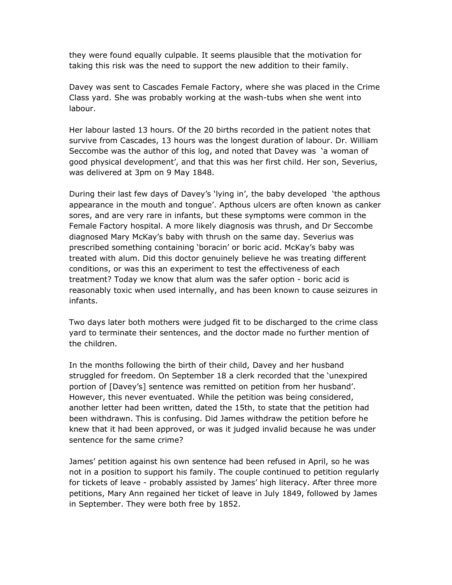they were found equally culpable. It seems plausible that the motivation for taking this risk was the need to support the new addition to their family.

Davey was sent to Cascades Female Factory, where she was placed in the Crime Class yard. She was probably working at the wash-tubs when she went into labour.

Her labour lasted 13 hours. Of the 20 births recorded in the patient notes that survive from Cascades, 13 hours was the longest duration of labour. Dr. William Seccombe was the author of this log, and noted that Davey was 'a woman of good physical development', and that this was her first child. Her son, Severius, was delivered at 3pm on 9 May 1848.

During their last few days of Davey's 'lying in', the baby developed 'the apthous appearance in the mouth and tongue'. Apthous ulcers are often known as canker sores, and are very rare in infants, but these symptoms were common in the Female Factory hospital. A more likely diagnosis was thrush, and Dr Seccombe diagnosed Mary McKay's baby with thrush on the same day. Severius was prescribed something containing 'boracin' or boric acid. McKay's baby was treated with alum. Did this doctor genuinely believe he was treating different conditions, or was this an experiment to test the effectiveness of each treatment? Today we know that alum was the safer option - boric acid is reasonably toxic when used internally, and has been known to cause seizures in infants.

Two days later both mothers were judged fit to be discharged to the crime class yard to terminate their sentences, and the doctor made no further mention of the children.

In the months following the birth of their child, Davey and her husband struggled for freedom. On September 18 a clerk recorded that the 'unexpired portion of [Davey's] sentence was remitted on petition from her husband'. However, this never eventuated. While the petition was being considered, another letter had been written, dated the 15th, to state that the petition had been withdrawn. This is confusing. Did James withdraw the petition before he knew that it had been approved, or was it judged invalid because he was under sentence for the same crime?

James' petition against his own sentence had been refused in April, so he was not in a position to support his family. The couple continued to petition regularly for tickets of leave - probably assisted by James' high literacy. After three more petitions, Mary Ann regained her ticket of leave in July 1849, followed by James in September. They were both free by 1852.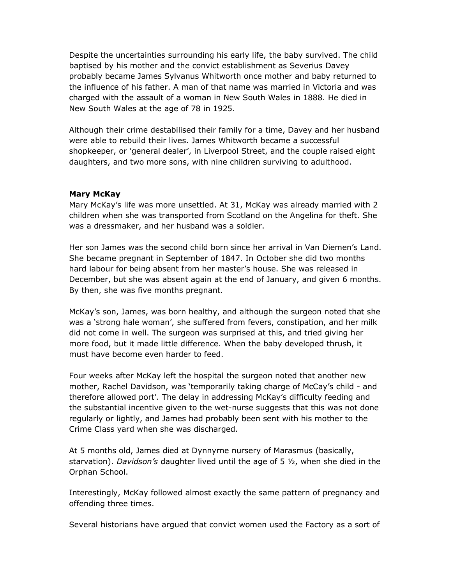Despite the uncertainties surrounding his early life, the baby survived. The child baptised by his mother and the convict establishment as Severius Davey probably became James Sylvanus Whitworth once mother and baby returned to the influence of his father. A man of that name was married in Victoria and was charged with the assault of a woman in New South Wales in 1888. He died in New South Wales at the age of 78 in 1925.

Although their crime destabilised their family for a time, Davey and her husband were able to rebuild their lives. James Whitworth became a successful shopkeeper, or 'general dealer', in Liverpool Street, and the couple raised eight daughters, and two more sons, with nine children surviving to adulthood.

#### Mary McKay

Mary McKay's life was more unsettled. At 31, McKay was already married with 2 children when she was transported from Scotland on the Angelina for theft. She was a dressmaker, and her husband was a soldier.

Her son James was the second child born since her arrival in Van Diemen's Land. She became pregnant in September of 1847. In October she did two months hard labour for being absent from her master's house. She was released in December, but she was absent again at the end of January, and given 6 months. By then, she was five months pregnant.

McKay's son, James, was born healthy, and although the surgeon noted that she was a 'strong hale woman', she suffered from fevers, constipation, and her milk did not come in well. The surgeon was surprised at this, and tried giving her more food, but it made little difference. When the baby developed thrush, it must have become even harder to feed.

Four weeks after McKay left the hospital the surgeon noted that another new mother, Rachel Davidson, was 'temporarily taking charge of McCay's child - and therefore allowed port'. The delay in addressing McKay's difficulty feeding and the substantial incentive given to the wet-nurse suggests that this was not done regularly or lightly, and James had probably been sent with his mother to the Crime Class yard when she was discharged.

At 5 months old, James died at Dynnyrne nursery of Marasmus (basically, starvation). Davidson's daughter lived until the age of 5  $1/2$ , when she died in the Orphan School.

Interestingly, McKay followed almost exactly the same pattern of pregnancy and offending three times.

Several historians have argued that convict women used the Factory as a sort of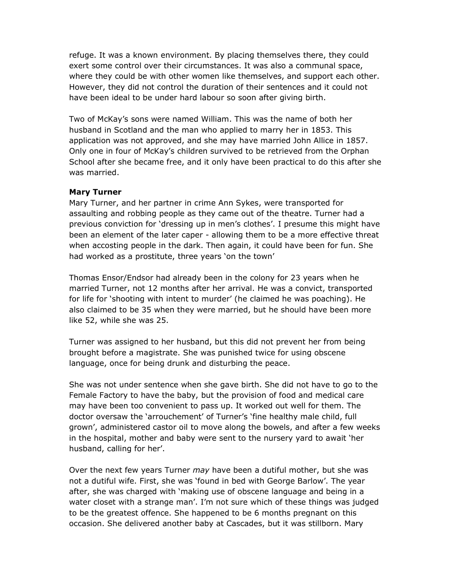refuge. It was a known environment. By placing themselves there, they could exert some control over their circumstances. It was also a communal space, where they could be with other women like themselves, and support each other. However, they did not control the duration of their sentences and it could not have been ideal to be under hard labour so soon after giving birth.

Two of McKay's sons were named William. This was the name of both her husband in Scotland and the man who applied to marry her in 1853. This application was not approved, and she may have married John Allice in 1857. Only one in four of McKay's children survived to be retrieved from the Orphan School after she became free, and it only have been practical to do this after she was married.

### Mary Turner

Mary Turner, and her partner in crime Ann Sykes, were transported for assaulting and robbing people as they came out of the theatre. Turner had a previous conviction for 'dressing up in men's clothes'. I presume this might have been an element of the later caper - allowing them to be a more effective threat when accosting people in the dark. Then again, it could have been for fun. She had worked as a prostitute, three years 'on the town'

Thomas Ensor/Endsor had already been in the colony for 23 years when he married Turner, not 12 months after her arrival. He was a convict, transported for life for 'shooting with intent to murder' (he claimed he was poaching). He also claimed to be 35 when they were married, but he should have been more like 52, while she was 25.

Turner was assigned to her husband, but this did not prevent her from being brought before a magistrate. She was punished twice for using obscene language, once for being drunk and disturbing the peace.

She was not under sentence when she gave birth. She did not have to go to the Female Factory to have the baby, but the provision of food and medical care may have been too convenient to pass up. It worked out well for them. The doctor oversaw the 'arrouchement' of Turner's 'fine healthy male child, full grown', administered castor oil to move along the bowels, and after a few weeks in the hospital, mother and baby were sent to the nursery yard to await 'her husband, calling for her'.

Over the next few years Turner may have been a dutiful mother, but she was not a dutiful wife. First, she was 'found in bed with George Barlow'. The year after, she was charged with 'making use of obscene language and being in a water closet with a strange man'. I'm not sure which of these things was judged to be the greatest offence. She happened to be 6 months pregnant on this occasion. She delivered another baby at Cascades, but it was stillborn. Mary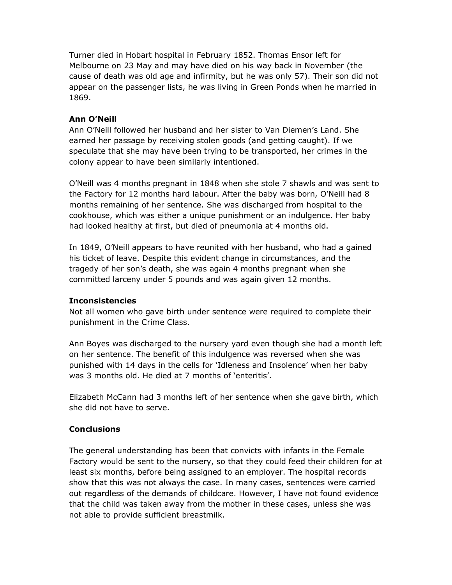Turner died in Hobart hospital in February 1852. Thomas Ensor left for Melbourne on 23 May and may have died on his way back in November (the cause of death was old age and infirmity, but he was only 57). Their son did not appear on the passenger lists, he was living in Green Ponds when he married in 1869.

### Ann O'Neill

Ann O'Neill followed her husband and her sister to Van Diemen's Land. She earned her passage by receiving stolen goods (and getting caught). If we speculate that she may have been trying to be transported, her crimes in the colony appear to have been similarly intentioned.

O'Neill was 4 months pregnant in 1848 when she stole 7 shawls and was sent to the Factory for 12 months hard labour. After the baby was born, O'Neill had 8 months remaining of her sentence. She was discharged from hospital to the cookhouse, which was either a unique punishment or an indulgence. Her baby had looked healthy at first, but died of pneumonia at 4 months old.

In 1849, O'Neill appears to have reunited with her husband, who had a gained his ticket of leave. Despite this evident change in circumstances, and the tragedy of her son's death, she was again 4 months pregnant when she committed larceny under 5 pounds and was again given 12 months.

### Inconsistencies

Not all women who gave birth under sentence were required to complete their punishment in the Crime Class.

Ann Boyes was discharged to the nursery yard even though she had a month left on her sentence. The benefit of this indulgence was reversed when she was punished with 14 days in the cells for 'Idleness and Insolence' when her baby was 3 months old. He died at 7 months of 'enteritis'.

Elizabeth McCann had 3 months left of her sentence when she gave birth, which she did not have to serve.

### **Conclusions**

The general understanding has been that convicts with infants in the Female Factory would be sent to the nursery, so that they could feed their children for at least six months, before being assigned to an employer. The hospital records show that this was not always the case. In many cases, sentences were carried out regardless of the demands of childcare. However, I have not found evidence that the child was taken away from the mother in these cases, unless she was not able to provide sufficient breastmilk.